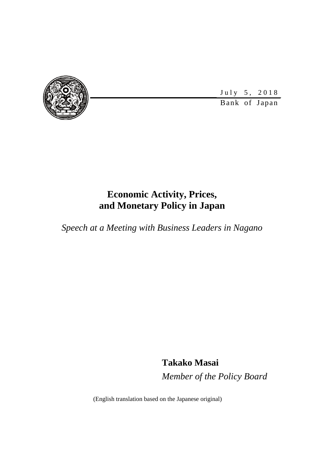

July 5, 2018

Bank of Japan

# **Economic Activity, Prices, and Monetary Policy in Japan**

*Speech at a Meeting with Business Leaders in Nagano* 

**Takako Masai**  *Member of the Policy Board* 

(English translation based on the Japanese original)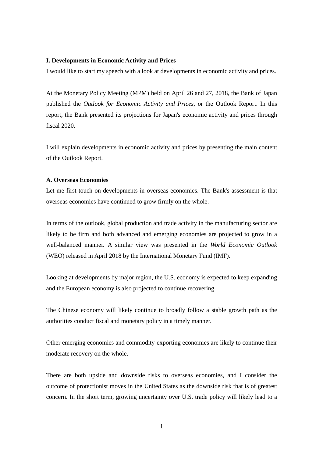#### **I. Developments in Economic Activity and Prices**

I would like to start my speech with a look at developments in economic activity and prices.

At the Monetary Policy Meeting (MPM) held on April 26 and 27, 2018, the Bank of Japan published the *Outlook for Economic Activity and Prices*, or the Outlook Report. In this report, the Bank presented its projections for Japan's economic activity and prices through fiscal 2020.

I will explain developments in economic activity and prices by presenting the main content of the Outlook Report.

#### **A. Overseas Economies**

Let me first touch on developments in overseas economies. The Bank's assessment is that overseas economies have continued to grow firmly on the whole.

In terms of the outlook, global production and trade activity in the manufacturing sector are likely to be firm and both advanced and emerging economies are projected to grow in a well-balanced manner. A similar view was presented in the *World Economic Outlook* (WEO) released in April 2018 by the International Monetary Fund (IMF).

Looking at developments by major region, the U.S. economy is expected to keep expanding and the European economy is also projected to continue recovering.

The Chinese economy will likely continue to broadly follow a stable growth path as the authorities conduct fiscal and monetary policy in a timely manner.

Other emerging economies and commodity-exporting economies are likely to continue their moderate recovery on the whole.

There are both upside and downside risks to overseas economies, and I consider the outcome of protectionist moves in the United States as the downside risk that is of greatest concern. In the short term, growing uncertainty over U.S. trade policy will likely lead to a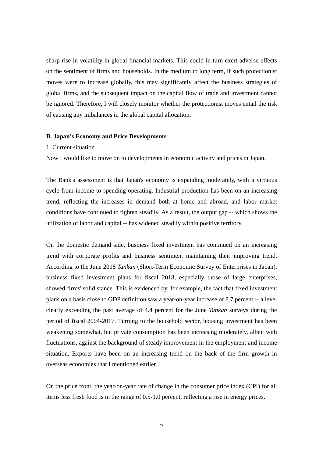sharp rise in volatility in global financial markets. This could in turn exert adverse effects on the sentiment of firms and households. In the medium to long term, if such protectionist moves were to increase globally, this may significantly affect the business strategies of global firms, and the subsequent impact on the capital flow of trade and investment cannot be ignored. Therefore, I will closely monitor whether the protectionist moves entail the risk of causing any imbalances in the global capital allocation.

## **B. Japan's Economy and Price Developments**

#### 1. Current situation

Now I would like to move on to developments in economic activity and prices in Japan.

The Bank's assessment is that Japan's economy is expanding moderately, with a virtuous cycle from income to spending operating. Industrial production has been on an increasing trend, reflecting the increases in demand both at home and abroad, and labor market conditions have continued to tighten steadily. As a result, the output gap -- which shows the utilization of labor and capital -- has widened steadily within positive territory.

On the domestic demand side, business fixed investment has continued on an increasing trend with corporate profits and business sentiment maintaining their improving trend. According to the June 2018 *Tankan* (Short-Term Economic Survey of Enterprises in Japan), business fixed investment plans for fiscal 2018, especially those of large enterprises, showed firms' solid stance. This is evidenced by, for example, the fact that fixed investment plans on a basis close to GDP definition saw a year-on-year increase of 8.7 percent -- a level clearly exceeding the past average of 4.4 percent for the June *Tankan* surveys during the period of fiscal 2004-2017. Turning to the household sector, housing investment has been weakening somewhat, but private consumption has been increasing moderately, albeit with fluctuations, against the background of steady improvement in the employment and income situation. Exports have been on an increasing trend on the back of the firm growth in overseas economies that I mentioned earlier.

On the price front, the year-on-year rate of change in the consumer price index (CPI) for all items less fresh food is in the range of 0.5-1.0 percent, reflecting a rise in energy prices.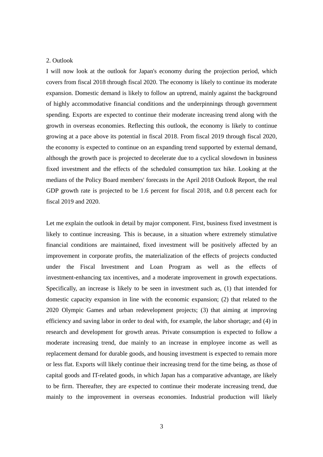#### 2. Outlook

I will now look at the outlook for Japan's economy during the projection period, which covers from fiscal 2018 through fiscal 2020. The economy is likely to continue its moderate expansion. Domestic demand is likely to follow an uptrend, mainly against the background of highly accommodative financial conditions and the underpinnings through government spending. Exports are expected to continue their moderate increasing trend along with the growth in overseas economies. Reflecting this outlook, the economy is likely to continue growing at a pace above its potential in fiscal 2018. From fiscal 2019 through fiscal 2020, the economy is expected to continue on an expanding trend supported by external demand, although the growth pace is projected to decelerate due to a cyclical slowdown in business fixed investment and the effects of the scheduled consumption tax hike. Looking at the medians of the Policy Board members' forecasts in the April 2018 Outlook Report, the real GDP growth rate is projected to be 1.6 percent for fiscal 2018, and 0.8 percent each for fiscal 2019 and 2020.

Let me explain the outlook in detail by major component. First, business fixed investment is likely to continue increasing. This is because, in a situation where extremely stimulative financial conditions are maintained, fixed investment will be positively affected by an improvement in corporate profits, the materialization of the effects of projects conducted under the Fiscal Investment and Loan Program as well as the effects of investment-enhancing tax incentives, and a moderate improvement in growth expectations. Specifically, an increase is likely to be seen in investment such as, (1) that intended for domestic capacity expansion in line with the economic expansion; (2) that related to the 2020 Olympic Games and urban redevelopment projects; (3) that aiming at improving efficiency and saving labor in order to deal with, for example, the labor shortage; and (4) in research and development for growth areas. Private consumption is expected to follow a moderate increasing trend, due mainly to an increase in employee income as well as replacement demand for durable goods, and housing investment is expected to remain more or less flat. Exports will likely continue their increasing trend for the time being, as those of capital goods and IT-related goods, in which Japan has a comparative advantage, are likely to be firm. Thereafter, they are expected to continue their moderate increasing trend, due mainly to the improvement in overseas economies. Industrial production will likely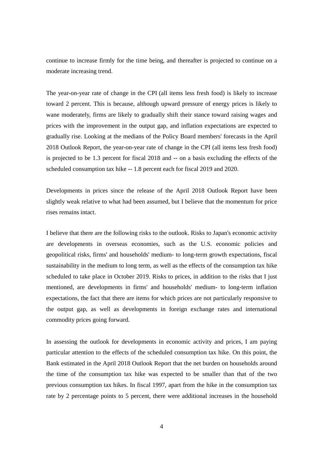continue to increase firmly for the time being, and thereafter is projected to continue on a moderate increasing trend.

The year-on-year rate of change in the CPI (all items less fresh food) is likely to increase toward 2 percent. This is because, although upward pressure of energy prices is likely to wane moderately, firms are likely to gradually shift their stance toward raising wages and prices with the improvement in the output gap, and inflation expectations are expected to gradually rise. Looking at the medians of the Policy Board members' forecasts in the April 2018 Outlook Report, the year-on-year rate of change in the CPI (all items less fresh food) is projected to be 1.3 percent for fiscal 2018 and -- on a basis excluding the effects of the scheduled consumption tax hike -- 1.8 percent each for fiscal 2019 and 2020.

Developments in prices since the release of the April 2018 Outlook Report have been slightly weak relative to what had been assumed, but I believe that the momentum for price rises remains intact.

I believe that there are the following risks to the outlook. Risks to Japan's economic activity are developments in overseas economies, such as the U.S. economic policies and geopolitical risks, firms' and households' medium- to long-term growth expectations, fiscal sustainability in the medium to long term, as well as the effects of the consumption tax hike scheduled to take place in October 2019. Risks to prices, in addition to the risks that I just mentioned, are developments in firms' and households' medium- to long-term inflation expectations, the fact that there are items for which prices are not particularly responsive to the output gap, as well as developments in foreign exchange rates and international commodity prices going forward.

In assessing the outlook for developments in economic activity and prices, I am paying particular attention to the effects of the scheduled consumption tax hike. On this point, the Bank estimated in the April 2018 Outlook Report that the net burden on households around the time of the consumption tax hike was expected to be smaller than that of the two previous consumption tax hikes. In fiscal 1997, apart from the hike in the consumption tax rate by 2 percentage points to 5 percent, there were additional increases in the household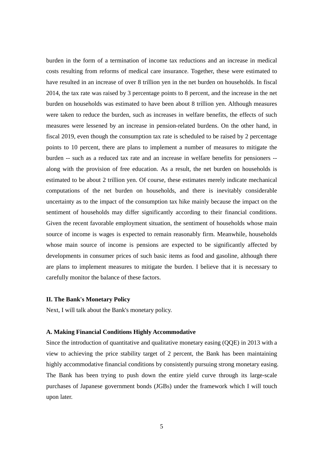burden in the form of a termination of income tax reductions and an increase in medical costs resulting from reforms of medical care insurance. Together, these were estimated to have resulted in an increase of over 8 trillion yen in the net burden on households. In fiscal 2014, the tax rate was raised by 3 percentage points to 8 percent, and the increase in the net burden on households was estimated to have been about 8 trillion yen. Although measures were taken to reduce the burden, such as increases in welfare benefits, the effects of such measures were lessened by an increase in pension-related burdens. On the other hand, in fiscal 2019, even though the consumption tax rate is scheduled to be raised by 2 percentage points to 10 percent, there are plans to implement a number of measures to mitigate the burden -- such as a reduced tax rate and an increase in welfare benefits for pensioners - along with the provision of free education. As a result, the net burden on households is estimated to be about 2 trillion yen. Of course, these estimates merely indicate mechanical computations of the net burden on households, and there is inevitably considerable uncertainty as to the impact of the consumption tax hike mainly because the impact on the sentiment of households may differ significantly according to their financial conditions. Given the recent favorable employment situation, the sentiment of households whose main source of income is wages is expected to remain reasonably firm. Meanwhile, households whose main source of income is pensions are expected to be significantly affected by developments in consumer prices of such basic items as food and gasoline, although there are plans to implement measures to mitigate the burden. I believe that it is necessary to carefully monitor the balance of these factors.

## **II. The Bank's Monetary Policy**

Next, I will talk about the Bank's monetary policy.

## **A. Making Financial Conditions Highly Accommodative**

Since the introduction of quantitative and qualitative monetary easing (QQE) in 2013 with a view to achieving the price stability target of 2 percent, the Bank has been maintaining highly accommodative financial conditions by consistently pursuing strong monetary easing. The Bank has been trying to push down the entire yield curve through its large-scale purchases of Japanese government bonds (JGBs) under the framework which I will touch upon later.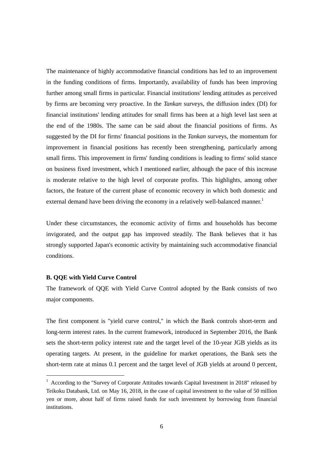The maintenance of highly accommodative financial conditions has led to an improvement in the funding conditions of firms. Importantly, availability of funds has been improving further among small firms in particular. Financial institutions' lending attitudes as perceived by firms are becoming very proactive. In the *Tankan* surveys, the diffusion index (DI) for financial institutions' lending attitudes for small firms has been at a high level last seen at the end of the 1980s. The same can be said about the financial positions of firms. As suggested by the DI for firms' financial positions in the *Tankan* surveys, the momentum for improvement in financial positions has recently been strengthening, particularly among small firms. This improvement in firms' funding conditions is leading to firms' solid stance on business fixed investment, which I mentioned earlier, although the pace of this increase is moderate relative to the high level of corporate profits. This highlights, among other factors, the feature of the current phase of economic recovery in which both domestic and external demand have been driving the economy in a relatively well-balanced manner.<sup>1</sup>

Under these circumstances, the economic activity of firms and households has become invigorated, and the output gap has improved steadily. The Bank believes that it has strongly supported Japan's economic activity by maintaining such accommodative financial conditions.

## **B. QQE with Yield Curve Control**

 $\overline{a}$ 

The framework of QQE with Yield Curve Control adopted by the Bank consists of two major components.

The first component is "yield curve control," in which the Bank controls short-term and long-term interest rates. In the current framework, introduced in September 2016, the Bank sets the short-term policy interest rate and the target level of the 10-year JGB yields as its operating targets. At present, in the guideline for market operations, the Bank sets the short-term rate at minus 0.1 percent and the target level of JGB yields at around 0 percent,

<sup>&</sup>lt;sup>1</sup> According to the "Survey of Corporate Attitudes towards Capital Investment in 2018" released by Teikoku Databank, Ltd. on May 16, 2018, in the case of capital investment to the value of 50 million yen or more, about half of firms raised funds for such investment by borrowing from financial institutions.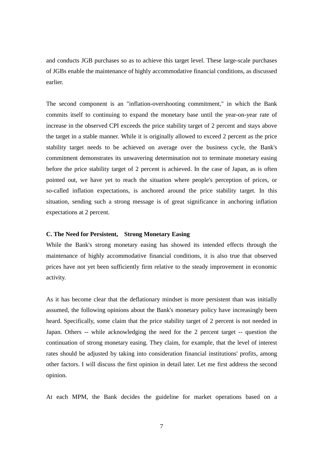and conducts JGB purchases so as to achieve this target level. These large-scale purchases of JGBs enable the maintenance of highly accommodative financial conditions, as discussed earlier.

The second component is an "inflation-overshooting commitment," in which the Bank commits itself to continuing to expand the monetary base until the year-on-year rate of increase in the observed CPI exceeds the price stability target of 2 percent and stays above the target in a stable manner. While it is originally allowed to exceed 2 percent as the price stability target needs to be achieved on average over the business cycle, the Bank's commitment demonstrates its unwavering determination not to terminate monetary easing before the price stability target of 2 percent is achieved. In the case of Japan, as is often pointed out, we have yet to reach the situation where people's perception of prices, or so-called inflation expectations, is anchored around the price stability target. In this situation, sending such a strong message is of great significance in anchoring inflation expectations at 2 percent.

## **C. The Need for Persistent, Strong Monetary Easing**

While the Bank's strong monetary easing has showed its intended effects through the maintenance of highly accommodative financial conditions, it is also true that observed prices have not yet been sufficiently firm relative to the steady improvement in economic activity.

As it has become clear that the deflationary mindset is more persistent than was initially assumed, the following opinions about the Bank's monetary policy have increasingly been heard. Specifically, some claim that the price stability target of 2 percent is not needed in Japan. Others -- while acknowledging the need for the 2 percent target -- question the continuation of strong monetary easing. They claim, for example, that the level of interest rates should be adjusted by taking into consideration financial institutions' profits, among other factors. I will discuss the first opinion in detail later. Let me first address the second opinion.

At each MPM, the Bank decides the guideline for market operations based on a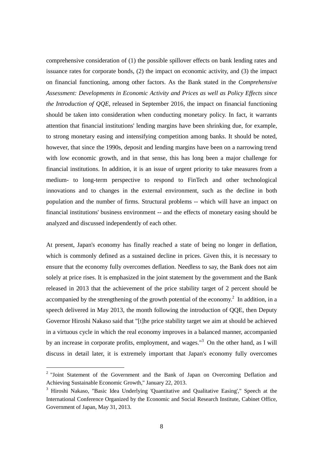comprehensive consideration of (1) the possible spillover effects on bank lending rates and issuance rates for corporate bonds, (2) the impact on economic activity, and (3) the impact on financial functioning, among other factors. As the Bank stated in the *Comprehensive Assessment: Developments in Economic Activity and Prices as well as Policy Effects since the Introduction of QQE*, released in September 2016, the impact on financial functioning should be taken into consideration when conducting monetary policy. In fact, it warrants attention that financial institutions' lending margins have been shrinking due, for example, to strong monetary easing and intensifying competition among banks. It should be noted, however, that since the 1990s, deposit and lending margins have been on a narrowing trend with low economic growth, and in that sense, this has long been a major challenge for financial institutions. In addition, it is an issue of urgent priority to take measures from a medium- to long-term perspective to respond to FinTech and other technological innovations and to changes in the external environment, such as the decline in both population and the number of firms. Structural problems -- which will have an impact on financial institutions' business environment -- and the effects of monetary easing should be analyzed and discussed independently of each other.

At present, Japan's economy has finally reached a state of being no longer in deflation, which is commonly defined as a sustained decline in prices. Given this, it is necessary to ensure that the economy fully overcomes deflation. Needless to say, the Bank does not aim solely at price rises. It is emphasized in the joint statement by the government and the Bank released in 2013 that the achievement of the price stability target of 2 percent should be accompanied by the strengthening of the growth potential of the economy.<sup>2</sup> In addition, in a speech delivered in May 2013, the month following the introduction of QQE, then Deputy Governor Hiroshi Nakaso said that "[t]he price stability target we aim at should be achieved in a virtuous cycle in which the real economy improves in a balanced manner, accompanied by an increase in corporate profits, employment, and wages."<sup>3</sup> On the other hand, as I will discuss in detail later, it is extremely important that Japan's economy fully overcomes

 $\overline{a}$ 

<sup>&</sup>lt;sup>2</sup> "Joint Statement of the Government and the Bank of Japan on Overcoming Deflation and Achieving Sustainable Economic Growth," January 22, 2013.

<sup>&</sup>lt;sup>3</sup> Hiroshi Nakaso, "Basic Idea Underlying 'Quantitative and Qualitative Easing'," Speech at the International Conference Organized by the Economic and Social Research Institute, Cabinet Office, Government of Japan, May 31, 2013.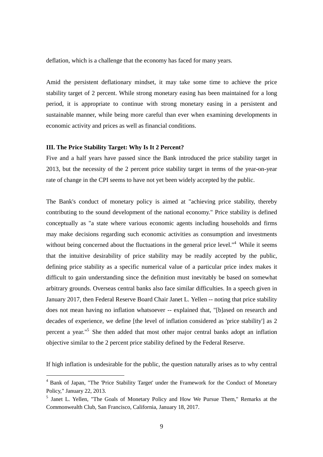deflation, which is a challenge that the economy has faced for many years.

Amid the persistent deflationary mindset, it may take some time to achieve the price stability target of 2 percent. While strong monetary easing has been maintained for a long period, it is appropriate to continue with strong monetary easing in a persistent and sustainable manner, while being more careful than ever when examining developments in economic activity and prices as well as financial conditions.

## **III. The Price Stability Target: Why Is It 2 Percent?**

 $\overline{a}$ 

Five and a half years have passed since the Bank introduced the price stability target in 2013, but the necessity of the 2 percent price stability target in terms of the year-on-year rate of change in the CPI seems to have not yet been widely accepted by the public.

The Bank's conduct of monetary policy is aimed at "achieving price stability, thereby contributing to the sound development of the national economy." Price stability is defined conceptually as "a state where various economic agents including households and firms may make decisions regarding such economic activities as consumption and investments without being concerned about the fluctuations in the general price level."<sup>4</sup> While it seems that the intuitive desirability of price stability may be readily accepted by the public, defining price stability as a specific numerical value of a particular price index makes it difficult to gain understanding since the definition must inevitably be based on somewhat arbitrary grounds. Overseas central banks also face similar difficulties. In a speech given in January 2017, then Federal Reserve Board Chair Janet L. Yellen -- noting that price stability does not mean having no inflation whatsoever -- explained that, "[b]ased on research and decades of experience, we define [the level of inflation considered as 'price stability'] as 2 percent a year."5 She then added that most other major central banks adopt an inflation objective similar to the 2 percent price stability defined by the Federal Reserve.

If high inflation is undesirable for the public, the question naturally arises as to why central

<sup>&</sup>lt;sup>4</sup> Bank of Japan, "The 'Price Stability Target' under the Framework for the Conduct of Monetary Policy," January 22, 2013.

<sup>&</sup>lt;sup>5</sup> Janet L. Yellen, "The Goals of Monetary Policy and How We Pursue Them," Remarks at the Commonwealth Club, San Francisco, California, January 18, 2017.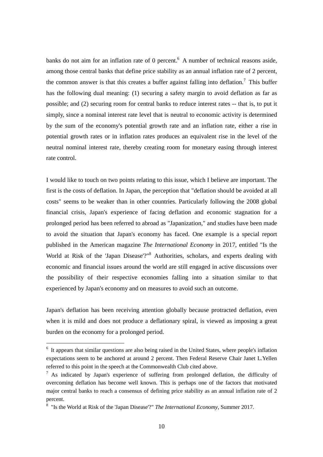banks do not aim for an inflation rate of 0 percent.<sup>6</sup> A number of technical reasons aside, among those central banks that define price stability as an annual inflation rate of 2 percent, the common answer is that this creates a buffer against falling into deflation.<sup>7</sup> This buffer has the following dual meaning: (1) securing a safety margin to avoid deflation as far as possible; and (2) securing room for central banks to reduce interest rates -- that is, to put it simply, since a nominal interest rate level that is neutral to economic activity is determined by the sum of the economy's potential growth rate and an inflation rate, either a rise in potential growth rates or in inflation rates produces an equivalent rise in the level of the neutral nominal interest rate, thereby creating room for monetary easing through interest rate control.

I would like to touch on two points relating to this issue, which I believe are important. The first is the costs of deflation. In Japan, the perception that "deflation should be avoided at all costs" seems to be weaker than in other countries. Particularly following the 2008 global financial crisis, Japan's experience of facing deflation and economic stagnation for a prolonged period has been referred to abroad as "Japanization," and studies have been made to avoid the situation that Japan's economy has faced. One example is a special report published in the American magazine *The International Economy* in 2017, entitled "Is the World at Risk of the 'Japan Disease'?"<sup>8</sup> Authorities, scholars, and experts dealing with economic and financial issues around the world are still engaged in active discussions over the possibility of their respective economies falling into a situation similar to that experienced by Japan's economy and on measures to avoid such an outcome.

Japan's deflation has been receiving attention globally because protracted deflation, even when it is mild and does not produce a deflationary spiral, is viewed as imposing a great burden on the economy for a prolonged period.

 $\overline{a}$ 

<sup>&</sup>lt;sup>6</sup> It appears that similar questions are also being raised in the United States, where people's inflation expectations seem to be anchored at around 2 percent. Then Federal Reserve Chair Janet L.Yellen referred to this point in the speech at the Commonwealth Club cited above.

 $^7$  As indicated by Japan's experience of suffering from prolonged deflation, the difficulty of overcoming deflation has become well known. This is perhaps one of the factors that motivated major central banks to reach a consensus of defining price stability as an annual inflation rate of 2 percent.

<sup>8</sup> "Is the World at Risk of the 'Japan Disease'?" *The International Economy*, Summer 2017.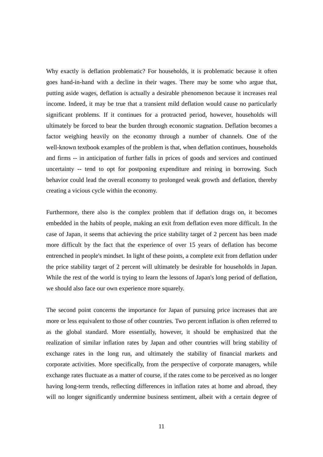Why exactly is deflation problematic? For households, it is problematic because it often goes hand-in-hand with a decline in their wages. There may be some who argue that, putting aside wages, deflation is actually a desirable phenomenon because it increases real income. Indeed, it may be true that a transient mild deflation would cause no particularly significant problems. If it continues for a protracted period, however, households will ultimately be forced to bear the burden through economic stagnation. Deflation becomes a factor weighing heavily on the economy through a number of channels. One of the well-known textbook examples of the problem is that, when deflation continues, households and firms -- in anticipation of further falls in prices of goods and services and continued uncertainty -- tend to opt for postponing expenditure and reining in borrowing. Such behavior could lead the overall economy to prolonged weak growth and deflation, thereby creating a vicious cycle within the economy.

Furthermore, there also is the complex problem that if deflation drags on, it becomes embedded in the habits of people, making an exit from deflation even more difficult. In the case of Japan, it seems that achieving the price stability target of 2 percent has been made more difficult by the fact that the experience of over 15 years of deflation has become entrenched in people's mindset. In light of these points, a complete exit from deflation under the price stability target of 2 percent will ultimately be desirable for households in Japan. While the rest of the world is trying to learn the lessons of Japan's long period of deflation, we should also face our own experience more squarely.

The second point concerns the importance for Japan of pursuing price increases that are more or less equivalent to those of other countries. Two percent inflation is often referred to as the global standard. More essentially, however, it should be emphasized that the realization of similar inflation rates by Japan and other countries will bring stability of exchange rates in the long run, and ultimately the stability of financial markets and corporate activities. More specifically, from the perspective of corporate managers, while exchange rates fluctuate as a matter of course, if the rates come to be perceived as no longer having long-term trends, reflecting differences in inflation rates at home and abroad, they will no longer significantly undermine business sentiment, albeit with a certain degree of